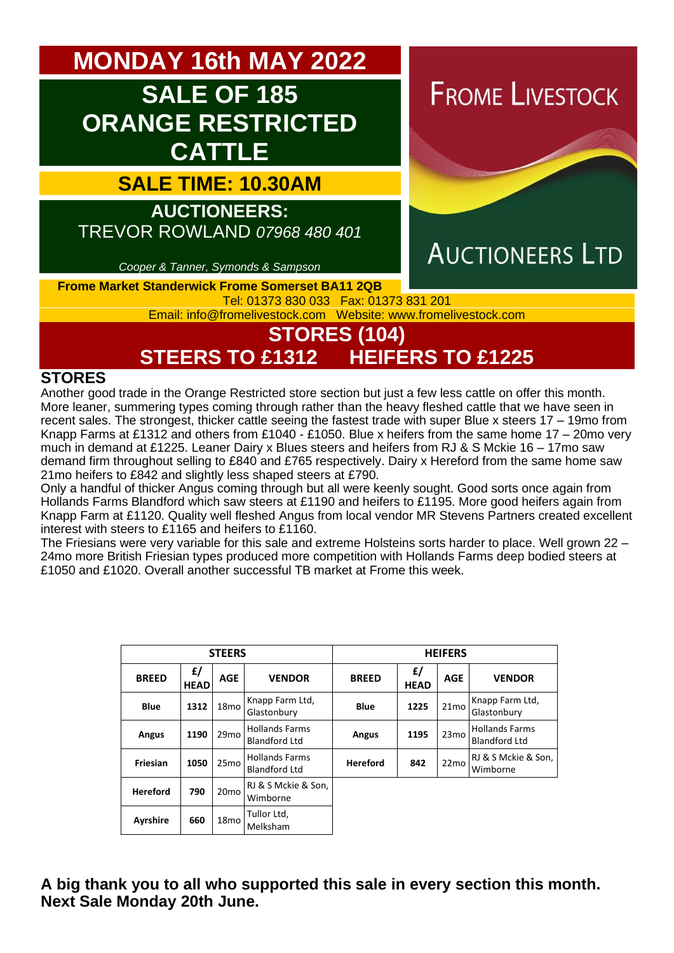**MONDAY 16th MAY 2022**

# **SALE OF 185 ORANGE RESTRICTED CATTLE**

**SALE TIME: 10.30AM**

**AUCTIONEERS:** 

TREVOR ROWLAND *07968 480 401*

*Cooper & Tanner, Symonds & Sampson*

**FROME LIVESTOCK** 



# **AUCTIONEERS LTD**

**Frome Market Standerwick Frome Somerset BA11 2QB**

Tel: 01373 830 033 Fax: 01373 831 201 Email: [info@fromelivestock.com](mailto:info@fromelivestock.com) Website: [www.fromelivestock.com](http://www.fromelivestock.com/)

# **STORES (104) STEERS TO £1312 HEIFERS TO £1225**

#### **STORES**

Another good trade in the Orange Restricted store section but just a few less cattle on offer this month. More leaner, summering types coming through rather than the heavy fleshed cattle that we have seen in recent sales. The strongest, thicker cattle seeing the fastest trade with super Blue x steers 17 – 19mo from Knapp Farms at £1312 and others from £1040 - £1050. Blue x heifers from the same home 17 – 20mo very much in demand at £1225. Leaner Dairy x Blues steers and heifers from RJ & S Mckie 16 – 17mo saw demand firm throughout selling to £840 and £765 respectively. Dairy x Hereford from the same home saw 21mo heifers to £842 and slightly less shaped steers at £790.

Only a handful of thicker Angus coming through but all were keenly sought. Good sorts once again from Hollands Farms Blandford which saw steers at £1190 and heifers to £1195. More good heifers again from Knapp Farm at £1120. Quality well fleshed Angus from local vendor MR Stevens Partners created excellent interest with steers to £1165 and heifers to £1160.

The Friesians were very variable for this sale and extreme Holsteins sorts harder to place. Well grown 22 – 24mo more British Friesian types produced more competition with Hollands Farms deep bodied steers at £1050 and £1020. Overall another successful TB market at Frome this week.

| <b>STEERS</b>   |                   |                  |                                               | <b>HEIFERS</b>  |                   |                  |                                               |
|-----------------|-------------------|------------------|-----------------------------------------------|-----------------|-------------------|------------------|-----------------------------------------------|
| <b>BREED</b>    | £/<br><b>HEAD</b> | <b>AGE</b>       | <b>VENDOR</b>                                 | <b>BREED</b>    | £/<br><b>HEAD</b> | <b>AGE</b>       | <b>VENDOR</b>                                 |
| <b>Blue</b>     | 1312              | 18 <sub>mo</sub> | Knapp Farm Ltd,<br>Glastonbury                | <b>Blue</b>     | 1225              | 21 <sub>mo</sub> | Knapp Farm Ltd,<br>Glastonbury                |
| <b>Angus</b>    | 1190              | 29mo             | <b>Hollands Farms</b><br><b>Blandford Ltd</b> | Angus           | 1195              | 23 <sub>mo</sub> | <b>Hollands Farms</b><br><b>Blandford Ltd</b> |
| Friesian        | 1050              | 25 <sub>mo</sub> | <b>Hollands Farms</b><br><b>Blandford Ltd</b> | <b>Hereford</b> | 842               | 22 <sub>mo</sub> | RJ & S Mckie & Son,<br>Wimborne               |
| <b>Hereford</b> | 790               | 20 <sub>mo</sub> | RJ & S Mckie & Son,<br>Wimborne               |                 |                   |                  |                                               |
| <b>Ayrshire</b> | 660               | 18 <sub>mo</sub> | Tullor Ltd,<br>Melksham                       |                 |                   |                  |                                               |

**A big thank you to all who supported this sale in every section this month. Next Sale Monday 20th June.**